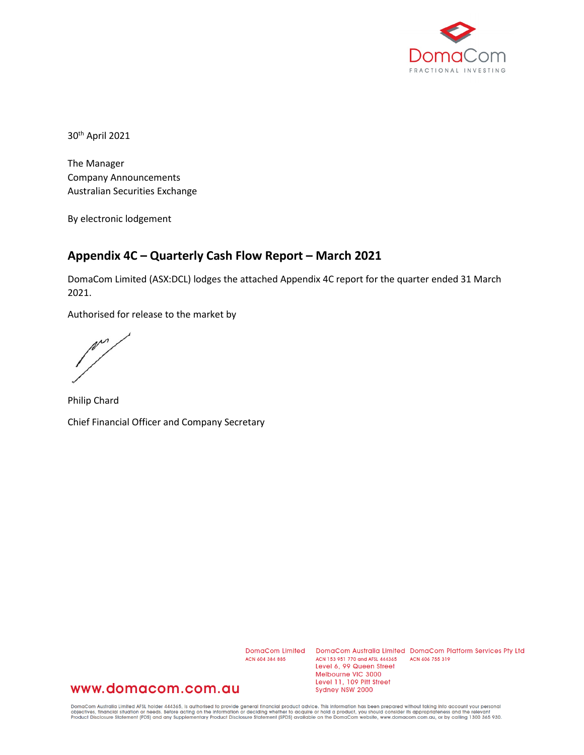

30th April 2021

The Manager Company Announcements Australian Securities Exchange

By electronic lodgement

### **Appendix 4C – Quarterly Cash Flow Report – March 2021**

DomaCom Limited (ASX:DCL) lodges the attached Appendix 4C report for the quarter ended 31 March 2021.

Authorised for release to the market by

m

Philip Chard Chief Financial Officer and Company Secretary

ACN 604 384 885

DomaCom Limited DomaCom Australia Limited DomaCom Platform Services Pty Ltd ACN 153 951 770 and AFSL 444365 ACN 606 755 319 Level 6, 99 Queen Street Melbourne VIC 3000 Level 11, 109 Pitt Street Sydney NSW 2000

## www.domacom.com.au

DomaCom Australia Limited AFSL holder 444365, is authorised to provide general financial product advice. This information has been prepared without taking into account your personal<br>objectives, financial situation or needs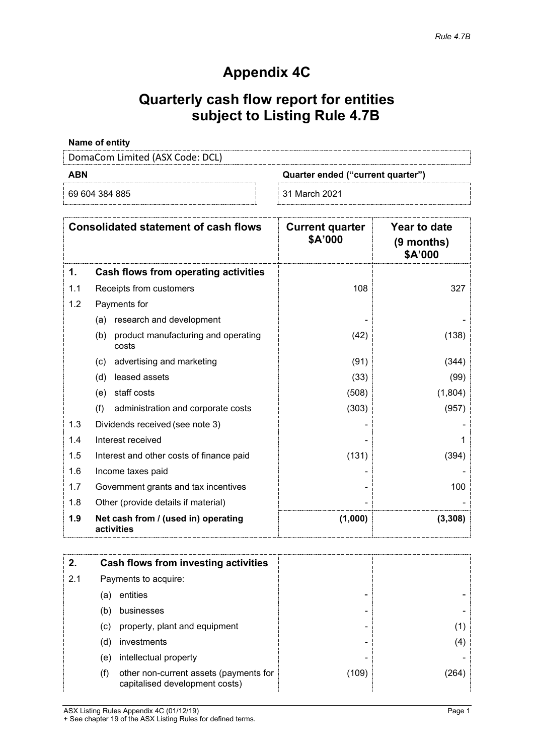## **Appendix 4C**

# **Quarterly cash flow report for entities subject to Listing Rule 4.7B**

#### **Name of entity**

DomaCom Limited (ASX Code: DCL)

| ٠ |  | - |  |
|---|--|---|--|
|---|--|---|--|

69 604 384 885 31 March 2021

**ABN Quarter ended ("current quarter")**

|     | <b>Consolidated statement of cash flows</b>         | <b>Current quarter</b><br>\$A'000 | Year to date<br>(9 months)<br>\$A'000 |
|-----|-----------------------------------------------------|-----------------------------------|---------------------------------------|
| 1.  | Cash flows from operating activities                |                                   |                                       |
| 1.1 | Receipts from customers                             | 108                               | 327                                   |
| 1.2 | Payments for                                        |                                   |                                       |
|     | research and development<br>(a)                     |                                   |                                       |
|     | product manufacturing and operating<br>(b)<br>costs | (42)                              | (138)                                 |
|     | advertising and marketing<br>(c)                    | (91)                              | (344)                                 |
|     | leased assets<br>(d)                                | (33)                              | (99)                                  |
|     | staff costs<br>(e)                                  | (508)                             | (1,804)                               |
|     | (f)<br>administration and corporate costs           | (303)                             | (957)                                 |
| 1.3 | Dividends received (see note 3)                     |                                   |                                       |
| 1.4 | Interest received                                   |                                   |                                       |
| 1.5 | Interest and other costs of finance paid            | (131)                             | (394)                                 |
| 1.6 | Income taxes paid                                   |                                   |                                       |
| 1.7 | Government grants and tax incentives                |                                   | 100                                   |
| 1.8 | Other (provide details if material)                 |                                   |                                       |
| 1.9 | Net cash from / (used in) operating<br>activities   | (1,000)                           | (3,308)                               |

| 2.  |     | Cash flows from investing activities                                     |       |     |
|-----|-----|--------------------------------------------------------------------------|-------|-----|
| 2.1 |     | Payments to acquire:                                                     |       |     |
|     | (a) | entities                                                                 |       |     |
|     | (b) | businesses                                                               | -     |     |
|     | (c) | property, plant and equipment                                            | -     |     |
|     | (d) | investments                                                              |       | (4) |
|     | (e) | intellectual property                                                    |       |     |
|     | (f) | other non-current assets (payments for<br>capitalised development costs) | (109) |     |

ASX Listing Rules Appendix 4C (01/12/19) Page 1 + See chapter 19 of the ASX Listing Rules for defined terms.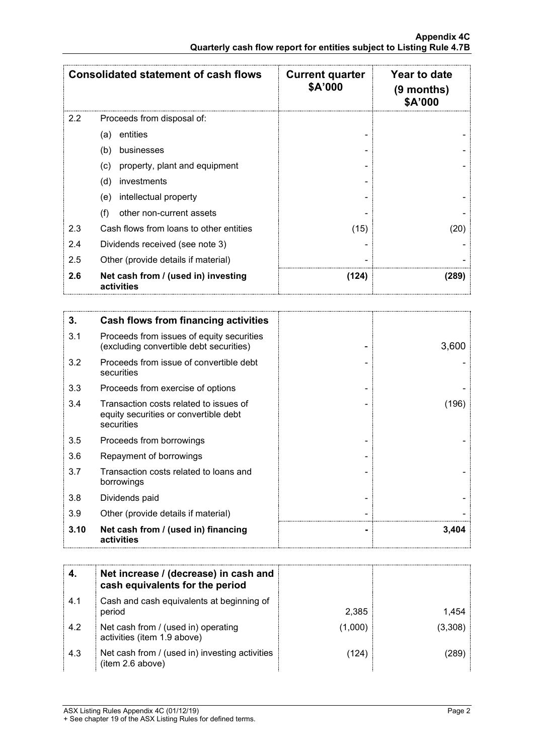|     | <b>Consolidated statement of cash flows</b>       | <b>Current quarter</b><br>\$A'000 | Year to date<br>$(9$ months)<br>\$A'000 |
|-----|---------------------------------------------------|-----------------------------------|-----------------------------------------|
| 2.2 | Proceeds from disposal of:                        |                                   |                                         |
|     | entities<br>(a)                                   |                                   |                                         |
|     | (b)<br>businesses                                 |                                   |                                         |
|     | property, plant and equipment<br>(c)              |                                   |                                         |
|     | (d)<br>investments                                |                                   |                                         |
|     | intellectual property<br>(e)                      |                                   |                                         |
|     | (f)<br>other non-current assets                   |                                   |                                         |
| 2.3 | Cash flows from loans to other entities           | (15)                              | (20)                                    |
| 2.4 | Dividends received (see note 3)                   |                                   |                                         |
| 2.5 | Other (provide details if material)               |                                   |                                         |
| 2.6 | Net cash from / (used in) investing<br>activities | (124)                             | (289)                                   |

| 3.   | Cash flows from financing activities                                                          |       |
|------|-----------------------------------------------------------------------------------------------|-------|
| 3.1  | Proceeds from issues of equity securities<br>(excluding convertible debt securities)          | 3,600 |
| 3.2  | Proceeds from issue of convertible debt<br>securities                                         |       |
| 3.3  | Proceeds from exercise of options                                                             |       |
| 3.4  | Transaction costs related to issues of<br>equity securities or convertible debt<br>securities | (196) |
| 3.5  | Proceeds from borrowings                                                                      |       |
| 3.6  | Repayment of borrowings                                                                       |       |
| 3.7  | Transaction costs related to loans and<br>borrowings                                          |       |
| 3.8  | Dividends paid                                                                                |       |
| 3.9  | Other (provide details if material)                                                           |       |
| 3.10 | Net cash from / (used in) financing<br>activities                                             | 3,404 |

|     | Net increase / (decrease) in cash and<br>cash equivalents for the period |         |         |
|-----|--------------------------------------------------------------------------|---------|---------|
| 4.1 | Cash and cash equivalents at beginning of<br>period                      | 2.385   |         |
| 4.2 | Net cash from / (used in) operating<br>activities (item 1.9 above)       | (1.000) | (3,308) |
| 4.3 | Net cash from / (used in) investing activities<br>(item 2.6 above)       | (124)   |         |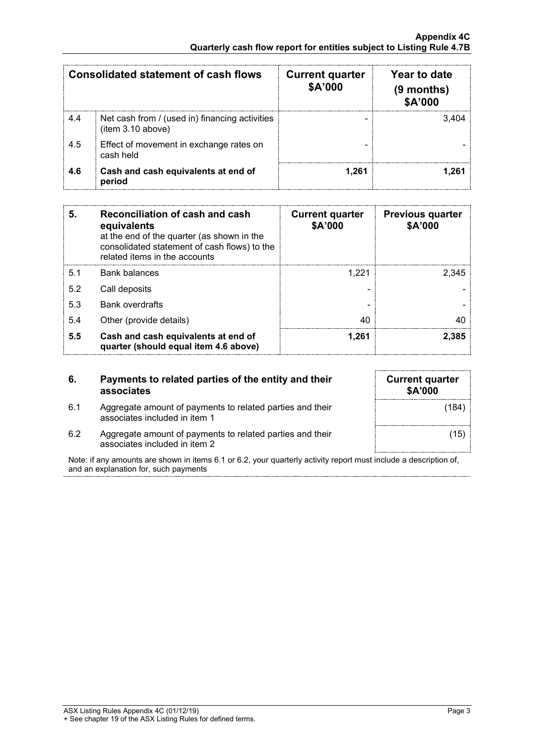|     | Consolidated statement of cash flows                                | <b>Current quarter</b><br>\$A'000 | Year to date<br>$(9$ months)<br>\$A'000 |
|-----|---------------------------------------------------------------------|-----------------------------------|-----------------------------------------|
| 4.4 | Net cash from / (used in) financing activities<br>(item 3.10 above) |                                   | 3 404                                   |
| 4.5 | Effect of movement in exchange rates on<br>cash held                |                                   |                                         |
| 4.6 | Cash and cash equivalents at end of<br>period                       | 1.261                             |                                         |

| 5.  | Reconciliation of cash and cash<br>equivalents<br>at the end of the quarter (as shown in the<br>consolidated statement of cash flows) to the<br>related items in the accounts | <b>Current quarter</b><br>\$A'000 | <b>Previous quarter</b><br>\$A'000 |
|-----|-------------------------------------------------------------------------------------------------------------------------------------------------------------------------------|-----------------------------------|------------------------------------|
| 5.1 | Bank balances                                                                                                                                                                 | 1.221                             | 2.345                              |
| 5.2 | Call deposits                                                                                                                                                                 |                                   |                                    |
| 5.3 | <b>Bank overdrafts</b>                                                                                                                                                        |                                   |                                    |
| 5.4 | Other (provide details)                                                                                                                                                       | 40                                |                                    |
| 5.5 | Cash and cash equivalents at end of<br>quarter (should equal item 4.6 above)                                                                                                  | 1.261                             | 2.385                              |

| 6.  | Payments to related parties of the entity and their<br>associates |
|-----|-------------------------------------------------------------------|
| 6.1 | Aggregate amount of payments to related parties and their         |

| <b>Current quarter</b><br><b>\$A'000</b> |  |
|------------------------------------------|--|
| (184)                                    |  |
| (15)                                     |  |

6.2 Aggregate amount of payments to related parties and their associates included in item 2

associates included in item 1

Note: if any amounts are shown in items 6.1 or 6.2, your quarterly activity report must include a description of, and an explanation for, such payments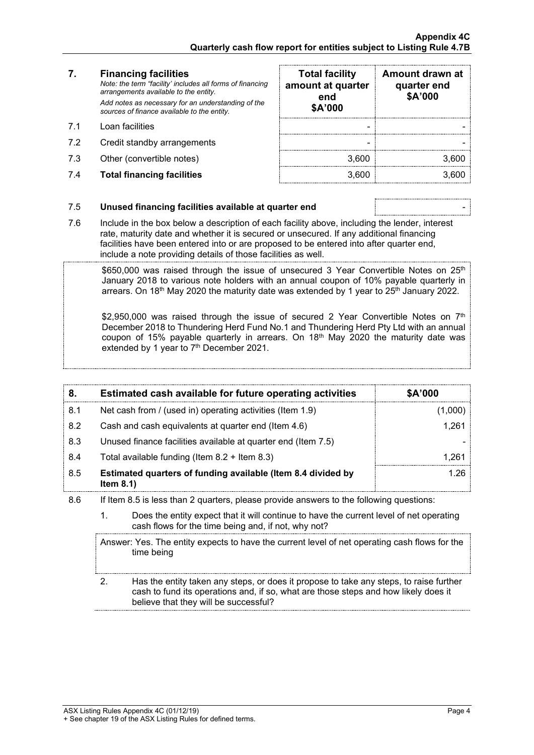#### **7. Financing facilities**

- 
- 7.2 Credit standby arrangements
- 7.3 Other (convertible notes)
- 7.4 **Total financing facilities** 3,600 3,600

| 7.  | <b>Financing facilities</b><br>Note: the term "facility' includes all forms of financing<br>arrangements available to the entity. | <b>Total facility</b><br>amount at quarter<br>end | Amount drawn at<br>quarter end<br>\$A'000 |
|-----|-----------------------------------------------------------------------------------------------------------------------------------|---------------------------------------------------|-------------------------------------------|
|     | Add notes as necessary for an understanding of the<br>sources of finance available to the entity.                                 | \$A'000                                           |                                           |
| 71  | Loan facilities                                                                                                                   |                                                   |                                           |
| 7.2 | Credit standby arrangements                                                                                                       |                                                   |                                           |
| 7.3 | Other (convertible notes)                                                                                                         | 3.600                                             | 3 60C                                     |
| 7.4 | <b>Total financing facilities</b>                                                                                                 | 3.600                                             |                                           |

#### 7.5 **Unused financing facilities available at quarter end** -

- 7.6 Include in the box below a description of each facility above, including the lender, interest rate, maturity date and whether it is secured or unsecured. If any additional financing facilities have been entered into or are proposed to be entered into after quarter end,
	- include a note providing details of those facilities as well.

 $$650,000$  was raised through the issue of unsecured 3 Year Convertible Notes on  $25<sup>th</sup>$ January 2018 to various note holders with an annual coupon of 10% payable quarterly in arrears. On 18<sup>th</sup> May 2020 the maturity date was extended by 1 year to  $25<sup>th</sup>$  January 2022.

\$2,950,000 was raised through the issue of secured 2 Year Convertible Notes on  $7<sup>th</sup>$ December 2018 to Thundering Herd Fund No.1 and Thundering Herd Pty Ltd with an annual coupon of 15% payable quarterly in arrears. On 18<sup>th</sup> May 2020 the maturity date was extended by 1 year to 7<sup>th</sup> December 2021.

|     | Estimated cash available for future operating activities                     | <b>\$A'000</b> |
|-----|------------------------------------------------------------------------------|----------------|
| 8.1 | Net cash from / (used in) operating activities (Item 1.9)                    |                |
| 8.2 | Cash and cash equivalents at quarter end (Item 4.6)                          | 1.261          |
| 8.3 | Unused finance facilities available at quarter end (Item 7.5)                |                |
| 8.4 | Total available funding (Item $8.2 +$ Item $8.3$ )                           | -26            |
| 8.5 | Estimated quarters of funding available (Item 8.4 divided by<br>Item $8.1$ ) | 1 26           |

8.6 If Item 8.5 is less than 2 quarters, please provide answers to the following questions:

1. Does the entity expect that it will continue to have the current level of net operating cash flows for the time being and, if not, why not?

Answer: Yes. The entity expects to have the current level of net operating cash flows for the time being 2. Has the entity taken any steps, or does it propose to take any steps, to raise further

cash to fund its operations and, if so, what are those steps and how likely does it believe that they will be successful?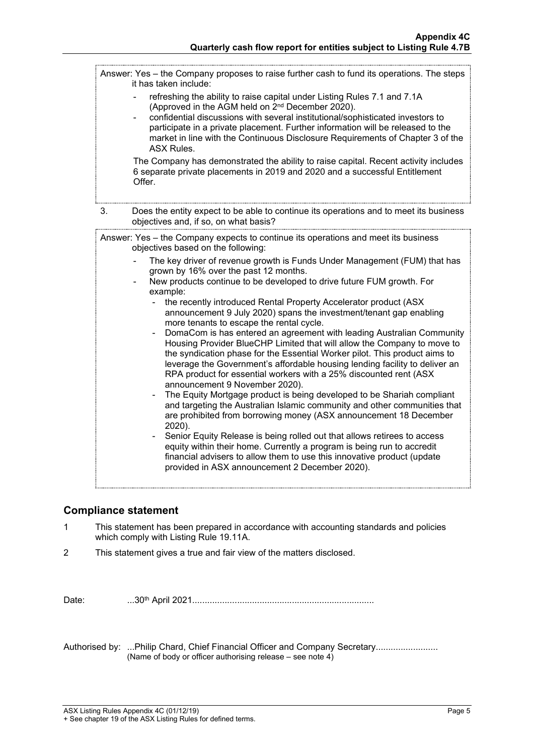Answer: Yes – the Company proposes to raise further cash to fund its operations. The steps it has taken include: refreshing the ability to raise capital under Listing Rules 7.1 and 7.1A (Approved in the AGM held on 2nd December 2020). - confidential discussions with several institutional/sophisticated investors to participate in a private placement. Further information will be released to the market in line with the Continuous Disclosure Requirements of Chapter 3 of the ASX Rules. The Company has demonstrated the ability to raise capital. Recent activity includes 6 separate private placements in 2019 and 2020 and a successful Entitlement Offer. 3. Does the entity expect to be able to continue its operations and to meet its business objectives and, if so, on what basis? Answer: Yes – the Company expects to continue its operations and meet its business objectives based on the following: The key driver of revenue growth is Funds Under Management (FUM) that has grown by 16% over the past 12 months. New products continue to be developed to drive future FUM growth. For example: the recently introduced Rental Property Accelerator product (ASX announcement 9 July 2020) spans the investment/tenant gap enabling more tenants to escape the rental cycle. - DomaCom is has entered an agreement with leading Australian Community Housing Provider BlueCHP Limited that will allow the Company to move to the syndication phase for the Essential Worker pilot. This product aims to leverage the Government's affordable housing lending facility to deliver an RPA product for essential workers with a 25% discounted rent (ASX announcement 9 November 2020). The Equity Mortgage product is being developed to be Shariah compliant and targeting the Australian Islamic community and other communities that are prohibited from borrowing money (ASX announcement 18 December 2020). Senior Equity Release is being rolled out that allows retirees to access equity within their home. Currently a program is being run to accredit financial advisers to allow them to use this innovative product (update provided in ASX announcement 2 December 2020).

### **Compliance statement**

- 1 This statement has been prepared in accordance with accounting standards and policies which comply with Listing Rule 19.11A.
- 2 This statement gives a true and fair view of the matters disclosed.

Date: ...30th April 2021.........................................................................

Authorised by: ...Philip Chard, Chief Financial Officer and Company Secretary....................... (Name of body or officer authorising release – see note 4)